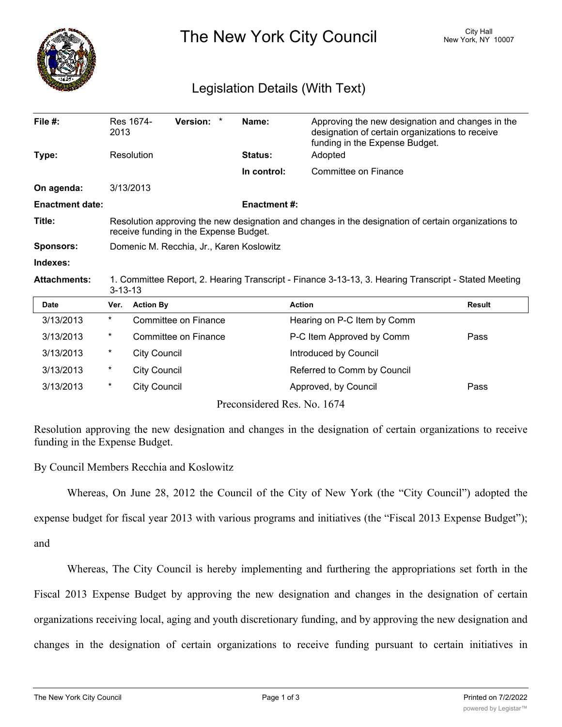

The New York City Council New York, NY 10007

## Legislation Details (With Text)

| File $#$ :             | 2013                                                                                                                                          | Res 1674-           | Version: *           |  | Name:                       | Approving the new designation and changes in the<br>designation of certain organizations to receive<br>funding in the Expense Budget. |               |  |
|------------------------|-----------------------------------------------------------------------------------------------------------------------------------------------|---------------------|----------------------|--|-----------------------------|---------------------------------------------------------------------------------------------------------------------------------------|---------------|--|
| Type:                  | Resolution                                                                                                                                    |                     |                      |  | Status:                     | Adopted                                                                                                                               |               |  |
|                        |                                                                                                                                               |                     |                      |  | In control:                 | Committee on Finance                                                                                                                  |               |  |
| On agenda:             |                                                                                                                                               | 3/13/2013           |                      |  |                             |                                                                                                                                       |               |  |
| <b>Enactment date:</b> |                                                                                                                                               |                     |                      |  | <b>Enactment #:</b>         |                                                                                                                                       |               |  |
| Title:                 | Resolution approving the new designation and changes in the designation of certain organizations to<br>receive funding in the Expense Budget. |                     |                      |  |                             |                                                                                                                                       |               |  |
| <b>Sponsors:</b>       | Domenic M. Recchia, Jr., Karen Koslowitz                                                                                                      |                     |                      |  |                             |                                                                                                                                       |               |  |
| Indexes:               |                                                                                                                                               |                     |                      |  |                             |                                                                                                                                       |               |  |
| <b>Attachments:</b>    | 1. Committee Report, 2. Hearing Transcript - Finance 3-13-13, 3. Hearing Transcript - Stated Meeting<br>$3 - 13 - 13$                         |                     |                      |  |                             |                                                                                                                                       |               |  |
| Date                   | Ver.                                                                                                                                          | <b>Action By</b>    |                      |  |                             | <b>Action</b>                                                                                                                         | <b>Result</b> |  |
| 3/13/2013              | $^\star$                                                                                                                                      |                     | Committee on Finance |  |                             | Hearing on P-C Item by Comm                                                                                                           |               |  |
| 3/13/2013              | *                                                                                                                                             |                     | Committee on Finance |  |                             | P-C Item Approved by Comm                                                                                                             | Pass          |  |
| 3/13/2013              | $^\star$                                                                                                                                      | <b>City Council</b> |                      |  |                             | Introduced by Council                                                                                                                 |               |  |
| 3/13/2013              | $^\star$                                                                                                                                      | <b>City Council</b> |                      |  |                             | Referred to Comm by Council                                                                                                           |               |  |
| 3/13/2013              | $^\star$                                                                                                                                      | <b>City Council</b> |                      |  |                             | Approved, by Council                                                                                                                  | Pass          |  |
|                        |                                                                                                                                               |                     |                      |  | Preconsidered Res. No. 1674 |                                                                                                                                       |               |  |

Resolution approving the new designation and changes in the designation of certain organizations to receive funding in the Expense Budget.

By Council Members Recchia and Koslowitz

Whereas, On June 28, 2012 the Council of the City of New York (the "City Council") adopted the

expense budget for fiscal year 2013 with various programs and initiatives (the "Fiscal 2013 Expense Budget");

and

Whereas, The City Council is hereby implementing and furthering the appropriations set forth in the Fiscal 2013 Expense Budget by approving the new designation and changes in the designation of certain organizations receiving local, aging and youth discretionary funding, and by approving the new designation and changes in the designation of certain organizations to receive funding pursuant to certain initiatives in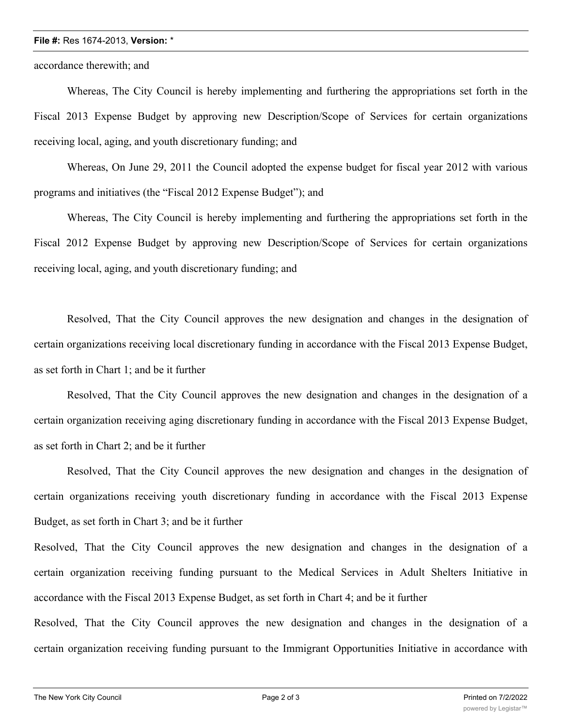## **File #:** Res 1674-2013, **Version:** \*

accordance therewith; and

Whereas, The City Council is hereby implementing and furthering the appropriations set forth in the Fiscal 2013 Expense Budget by approving new Description/Scope of Services for certain organizations receiving local, aging, and youth discretionary funding; and

Whereas, On June 29, 2011 the Council adopted the expense budget for fiscal year 2012 with various programs and initiatives (the "Fiscal 2012 Expense Budget"); and

Whereas, The City Council is hereby implementing and furthering the appropriations set forth in the Fiscal 2012 Expense Budget by approving new Description/Scope of Services for certain organizations receiving local, aging, and youth discretionary funding; and

Resolved, That the City Council approves the new designation and changes in the designation of certain organizations receiving local discretionary funding in accordance with the Fiscal 2013 Expense Budget, as set forth in Chart 1; and be it further

Resolved, That the City Council approves the new designation and changes in the designation of a certain organization receiving aging discretionary funding in accordance with the Fiscal 2013 Expense Budget, as set forth in Chart 2; and be it further

Resolved, That the City Council approves the new designation and changes in the designation of certain organizations receiving youth discretionary funding in accordance with the Fiscal 2013 Expense Budget, as set forth in Chart 3; and be it further

Resolved, That the City Council approves the new designation and changes in the designation of a certain organization receiving funding pursuant to the Medical Services in Adult Shelters Initiative in accordance with the Fiscal 2013 Expense Budget, as set forth in Chart 4; and be it further

Resolved, That the City Council approves the new designation and changes in the designation of a certain organization receiving funding pursuant to the Immigrant Opportunities Initiative in accordance with